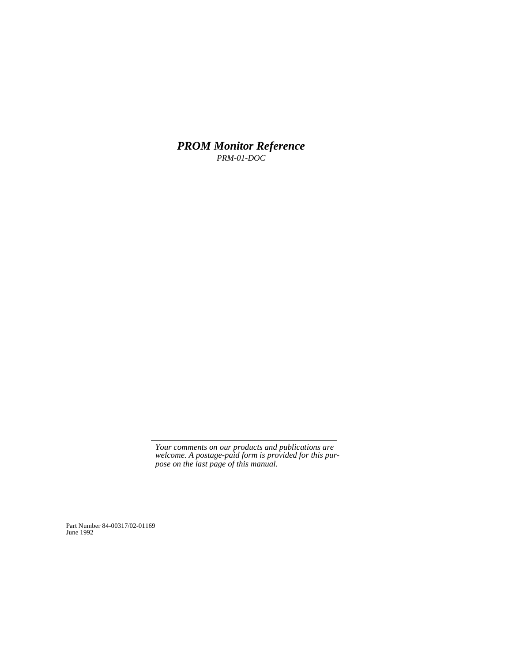*PROM Monitor Reference PRM-01-DOC*

*Your comments on our products and publications are welcome. A postage-paid form is provided for this purpose on the last page of this manual.*

Part Number 84-00317/02-01169 June 1992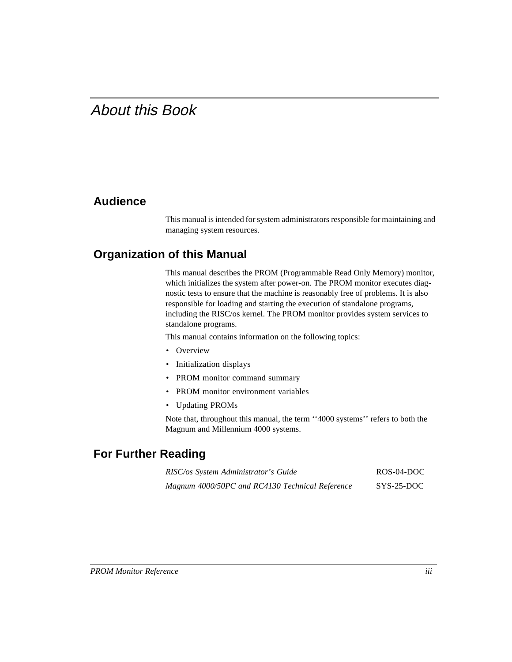# About this Book

### **Audience**

This manual is intended for system administrators responsible for maintaining and managing system resources.

### **Organization of this Manual**

This manual describes the PROM (Programmable Read Only Memory) monitor, which initializes the system after power-on. The PROM monitor executes diagnostic tests to ensure that the machine is reasonably free of problems. It is also responsible for loading and starting the execution of standalone programs, including the RISC/os kernel. The PROM monitor provides system services to standalone programs.

This manual contains information on the following topics:

- Overview
- Initialization displays
- PROM monitor command summary
- PROM monitor environment variables
- Updating PROMs

Note that, throughout this manual, the term ''4000 systems'' refers to both the Magnum and Millennium 4000 systems.

### **For Further Reading**

| RISC/os System Administrator's Guide            | ROS-04-DOC                       |
|-------------------------------------------------|----------------------------------|
| Magnum 4000/50PC and RC4130 Technical Reference | ${\rm SYS\text{-}25\text{-}DOC}$ |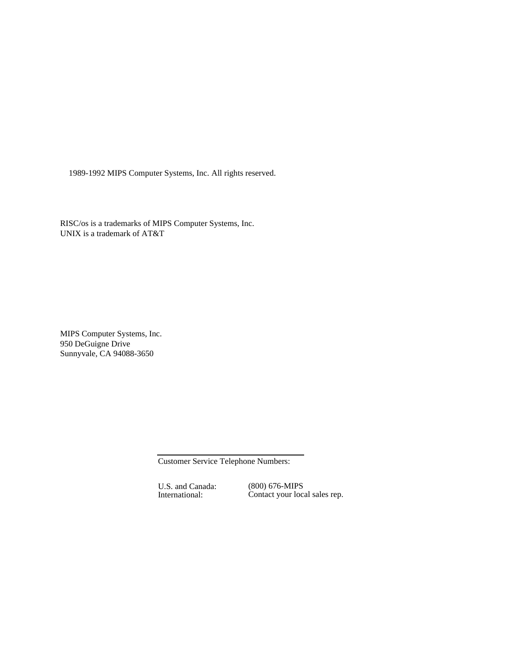1989-1992 MIPS Computer Systems, Inc. All rights reserved.

RISC/os is a trademarks of MIPS Computer Systems, Inc. UNIX is a trademark of AT&T

MIPS Computer Systems, Inc. 950 DeGuigne Drive Sunnyvale, CA 94088-3650

Customer Service Telephone Numbers:

U.S. and Canada: International:

(800) 676-MIPS Contact your local sales rep.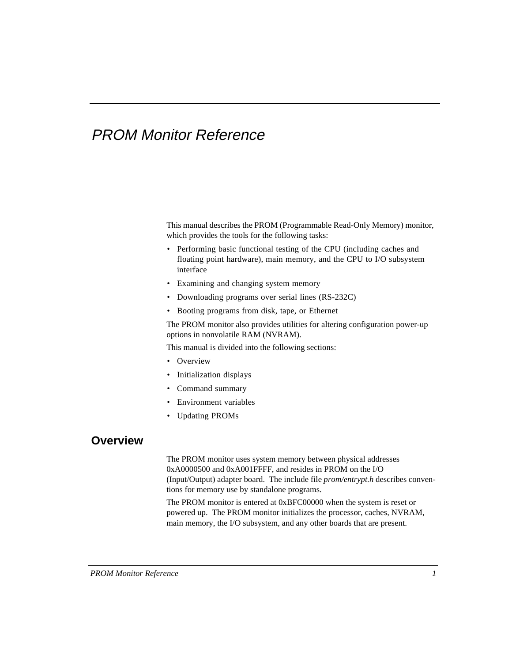# PROM Monitor Reference

This manual describes the PROM (Programmable Read-Only Memory) monitor, which provides the tools for the following tasks:

- Performing basic functional testing of the CPU (including caches and floating point hardware), main memory, and the CPU to I/O subsystem interface
- Examining and changing system memory
- Downloading programs over serial lines (RS-232C)
- Booting programs from disk, tape, or Ethernet

The PROM monitor also provides utilities for altering configuration power-up options in nonvolatile RAM (NVRAM).

This manual is divided into the following sections:

- Overview
- Initialization displays
- Command summary
- Environment variables
- Updating PROMs

### **Overview**

The PROM monitor uses system memory between physical addresses 0xA0000500 and 0xA001FFFF, and resides in PROM on the I/O (Input/Output) adapter board. The include file *prom/entrypt.h* describes conventions for memory use by standalone programs.

The PROM monitor is entered at 0xBFC00000 when the system is reset or powered up. The PROM monitor initializes the processor, caches, NVRAM, main memory, the I/O subsystem, and any other boards that are present.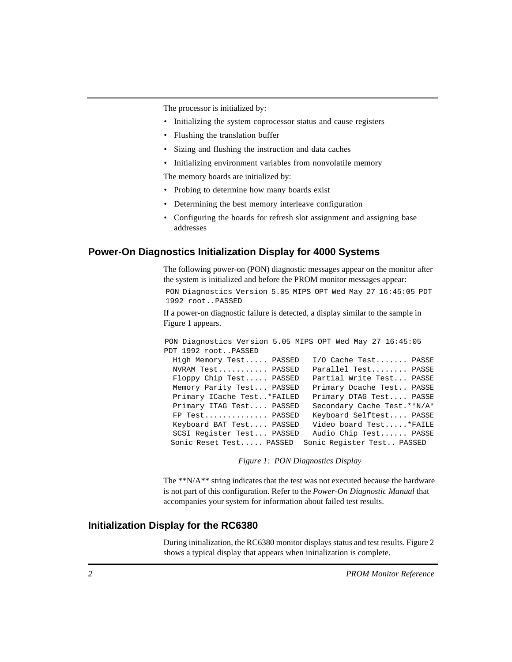The processor is initialized by:

- Initializing the system coprocessor status and cause registers
- Flushing the translation buffer
- Sizing and flushing the instruction and data caches
- Initializing environment variables from nonvolatile memory

The memory boards are initialized by:

- Probing to determine how many boards exist
- Determining the best memory interleave configuration
- Configuring the boards for refresh slot assignment and assigning base addresses

#### **Power-On Diagnostics Initialization Display for 4000 Systems**

The following power-on (PON) diagnostic messages appear on the monitor after the system is initialized and before the PROM monitor messages appear:

PON Diagnostics Version 5.05 MIPS OPT Wed May 27 16:45:05 PDT 1992 root..PASSED

If a power-on diagnostic failure is detected, a display similar to the sample in Figure 1 appears.

|                            | PON Diagnostics Version 5.05 MIPS OPT Wed May 27 16:45:05 |
|----------------------------|-----------------------------------------------------------|
| PDT 1992 rootPASSED        |                                                           |
| High Memory Test PASSED    | I/O Cache Test PASSE                                      |
| NVRAM Test PASSED          | Parallel Test PASSE                                       |
| Floppy Chip Test PASSED    | Partial Write Test PASSE                                  |
| Memory Parity Test PASSED  | Primary Dcache Test PASSE                                 |
| Primary ICache Test*FAILED | Primary DTAG Test PASSE                                   |
| Primary ITAG Test PASSED   | Secondary Cache Test. **N/A*                              |
| FP Test PASSED             | Keyboard Selftest PASSE                                   |
| Keyboard BAT Test PASSED   | Video board Test *FAILE                                   |
| SCSI Register Test PASSED  | Audio Chip Test PASSE                                     |
| Sonic Reset Test PASSED    | Sonic Register Test PASSED                                |

*Figure 1: PON Diagnostics Display*

The \*\*N/A\*\* string indicates that the test was not executed because the hardware is not part of this configuration. Refer to the *Power-On Diagnostic Manual* that accompanies your system for information about failed test results.

#### **Initialization Display for the RC6380**

During initialization, the RC6380 monitor displays status and test results. Figure 2 shows a typical display that appears when initialization is complete.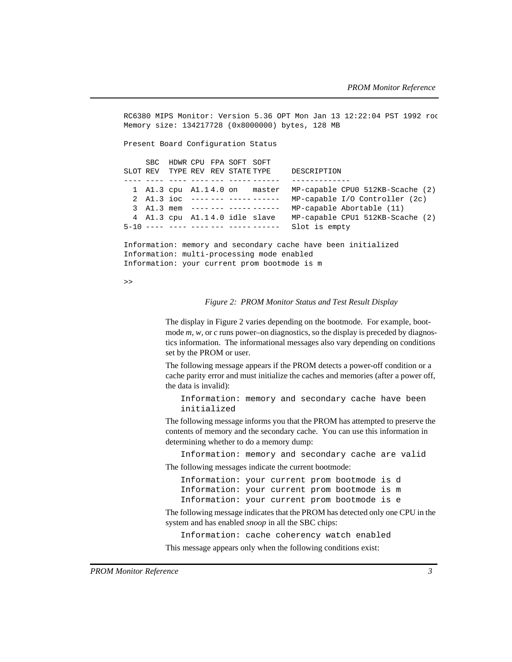RC6380 MIPS Monitor: Version 5.36 OPT Mon Jan 13 12:22:04 PST 1992 roo Memory size: 134217728 (0x8000000) bytes, 128 MB Present Board Configuration Status SBC HDWR CPU FPA SOFT SOFT SLOT REV TYPE REV REV STATE TYPE DESCRIPTION ---- ---- ---- ---- --- ----- ------ ------------- 1 A1.3 cpu A1.1 4.0 on master MP-capable CPU0 512KB-Scache (2) 2 A1.3 ioc ---- --- ----- ------ MP-capable I/O Controller (2c) 3 A1.3 mem ---- --- ----- ------ MP-capable Abortable (11) 4 A1.3 cpu A1.1 4.0 idle slave MP-capable CPU1 512KB-Scache (2) 5-10 ---- ---- ---- --- ----- ------ Slot is empty Information: memory and secondary cache have been initialized Information: multi-processing mode enabled Information: your current prom bootmode is m

>>

#### *Figure 2: PROM Monitor Status and Test Result Display*

The display in Figure 2 varies depending on the bootmode. For example, bootmode *m, w, or c* runs power–on diagnostics, so the display is preceded by diagnostics information. The informational messages also vary depending on conditions set by the PROM or user.

The following message appears if the PROM detects a power-off condition or a cache parity error and must initialize the caches and memories (after a power off, the data is invalid):

Information: memory and secondary cache have been initialized

The following message informs you that the PROM has attempted to preserve the contents of memory and the secondary cache. You can use this information in determining whether to do a memory dump:

Information: memory and secondary cache are valid The following messages indicate the current bootmode:

Information: your current prom bootmode is d Information: your current prom bootmode is m Information: your current prom bootmode is e

The following message indicates that the PROM has detected only one CPU in the system and has enabled *snoop* in all the SBC chips:

Information: cache coherency watch enabled This message appears only when the following conditions exist: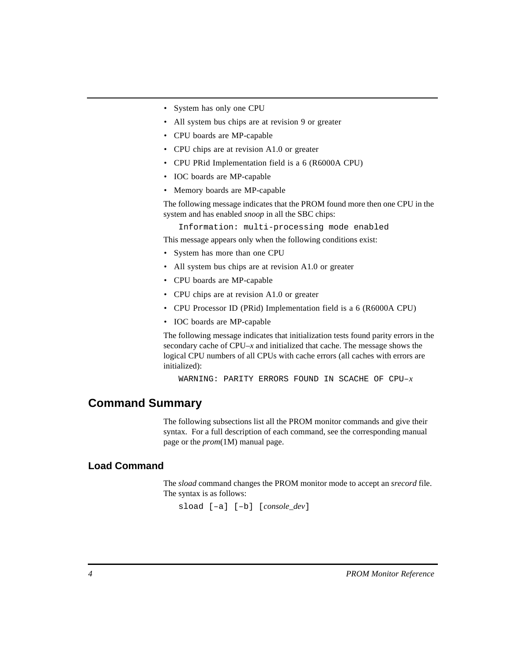- System has only one CPU
- All system bus chips are at revision 9 or greater
- CPU boards are MP-capable
- CPU chips are at revision A1.0 or greater
- CPU PRid Implementation field is a 6 (R6000A CPU)
- IOC boards are MP-capable
- Memory boards are MP-capable

The following message indicates that the PROM found more then one CPU in the system and has enabled *snoop* in all the SBC chips:

Information: multi-processing mode enabled

This message appears only when the following conditions exist:

- System has more than one CPU
- All system bus chips are at revision A1.0 or greater
- CPU boards are MP-capable
- CPU chips are at revision A1.0 or greater
- CPU Processor ID (PRid) Implementation field is a 6 (R6000A CPU)
- IOC boards are MP-capable

The following message indicates that initialization tests found parity errors in the secondary cache of CPU–*x* and initialized that cache. The message shows the logical CPU numbers of all CPUs with cache errors (all caches with errors are initialized):

WARNING: PARITY ERRORS FOUND IN SCACHE OF CPU–*x*

#### **Command Summary**

The following subsections list all the PROM monitor commands and give their syntax. For a full description of each command, see the corresponding manual page or the *prom*(1M) manual page.

#### **Load Command**

The *sload* command changes the PROM monitor mode to accept an *srecord* file. The syntax is as follows:

sload [–a] [–b] [*console\_dev*]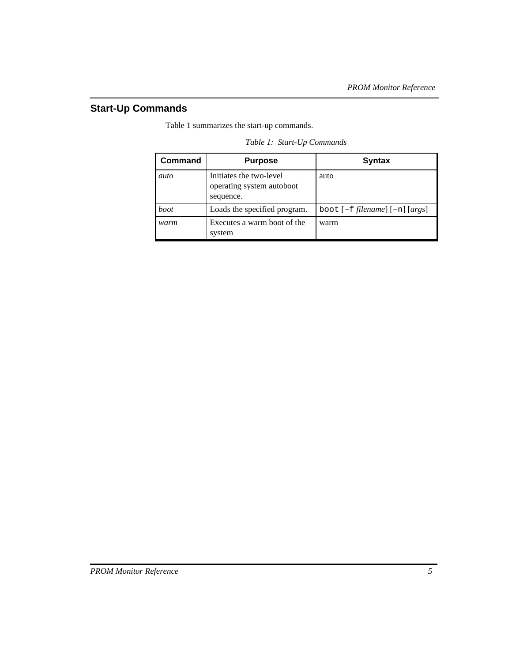### **Start-Up Commands**

Table 1 summarizes the start-up commands.

| <b>Command</b> | <b>Purpose</b>                                                    | <b>Syntax</b>                              |
|----------------|-------------------------------------------------------------------|--------------------------------------------|
| auto           | Initiates the two-level<br>operating system autoboot<br>sequence. | auto                                       |
| boot           | Loads the specified program.                                      | boot $[-f$ <i>filename</i> $[-n]$ $[args]$ |
| warm           | Executes a warm boot of the<br>system                             | warm                                       |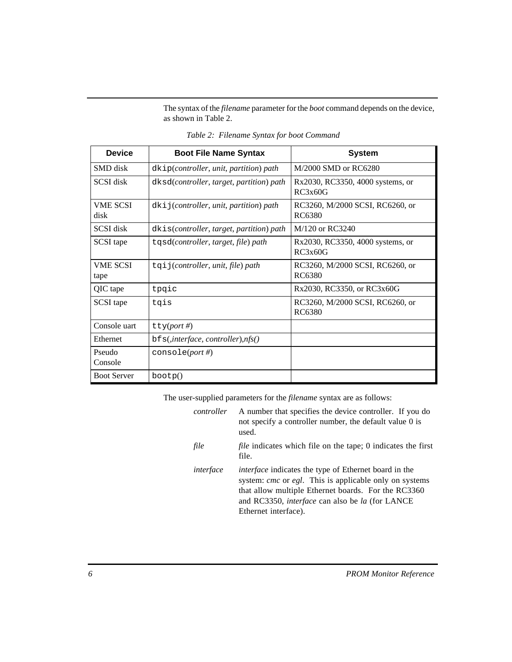The syntax of the *filename* parameter for the *boot* command depends on the device, as shown in Table 2.

| <b>Device</b>           | <b>Boot File Name Syntax</b>             | <b>System</b>                               |
|-------------------------|------------------------------------------|---------------------------------------------|
| <b>SMD</b> disk         | $dkip(controller, unit, partition) path$ | M/2000 SMD or RC6280                        |
| SCSI disk               | dksd(controller, target, partition) path | Rx2030, RC3350, 4000 systems, or<br>RC3x60G |
| <b>VME SCSI</b><br>disk | dkij(controller, unit, partition) path   | RC3260, M/2000 SCSI, RC6260, or<br>RC6380   |
| <b>SCSI</b> disk        | dkis(controller, target, partition) path | M/120 or RC3240                             |
| SCSI tape               | tqsd(controller, target, file) path      | Rx2030, RC3350, 4000 systems, or<br>RC3x60G |
| <b>VME SCSI</b><br>tape | $tq$ i j(controller, unit, file) path    | RC3260, M/2000 SCSI, RC6260, or<br>RC6380   |
| QIC tape                | tpqic                                    | Rx2030, RC3350, or RC3x60G                  |
| SCSI tape               | tgis                                     | RC3260, M/2000 SCSI, RC6260, or<br>RC6380   |
| Console uart            | $\texttt{tty}(port\#)$                   |                                             |
| Ethernet                | $bfs($ , interface, controller), $nfs()$ |                                             |
| Pseudo<br>Console       | console( <i>port</i> #)                  |                                             |
| <b>Boot Server</b>      | bootp()                                  |                                             |

*Table 2: Filename Syntax for boot Command*

The user-supplied parameters for the *filename* syntax are as follows:

| controller | A number that specifies the device controller. If you do<br>not specify a controller number, the default value 0 is<br>used.                                                                                                                                                          |
|------------|---------------------------------------------------------------------------------------------------------------------------------------------------------------------------------------------------------------------------------------------------------------------------------------|
| file       | <i>file</i> indicates which file on the tape; 0 indicates the first<br>file.                                                                                                                                                                                                          |
| interface  | <i>interface</i> indicates the type of Ethernet board in the<br>system: <i>cmc</i> or <i>egl</i> . This is applicable only on systems<br>that allow multiple Ethernet boards. For the RC3360<br>and RC3350, <i>interface</i> can also be <i>la</i> (for LANCE<br>Ethernet interface). |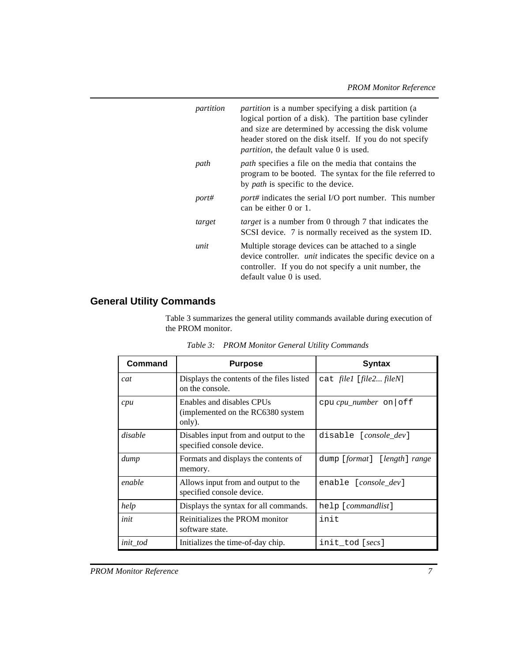| partition | <i>partition</i> is a number specifying a disk partition (a<br>logical portion of a disk). The partition base cylinder<br>and size are determined by accessing the disk volume<br>header stored on the disk itself. If you do not specify<br><i>partition</i> , the default value 0 is used. |
|-----------|----------------------------------------------------------------------------------------------------------------------------------------------------------------------------------------------------------------------------------------------------------------------------------------------|
| path      | <i>path</i> specifies a file on the media that contains the<br>program to be booted. The syntax for the file referred to<br>by <i>path</i> is specific to the device.                                                                                                                        |
| port#     | <i>port#</i> indicates the serial I/O port number. This number<br>can be either $0$ or $1$ .                                                                                                                                                                                                 |
| target    | <i>target</i> is a number from 0 through 7 that indicates the<br>SCSI device. 7 is normally received as the system ID.                                                                                                                                                                       |
| unit      | Multiple storage devices can be attached to a single<br>device controller. <i>unit</i> indicates the specific device on a<br>controller. If you do not specify a unit number, the<br>default value 0 is used.                                                                                |

## **General Utility Commands**

Table 3 summarizes the general utility commands available during execution of the PROM monitor.

| Command  | <b>Purpose</b>                                                            | <b>Syntax</b>                  |
|----------|---------------------------------------------------------------------------|--------------------------------|
| cat      | Displays the contents of the files listed<br>on the console.              | cat file1 [file2 fileN]        |
| cpu      | Enables and disables CPUs<br>(implemented on the RC6380 system)<br>only). | $cpu$ cpu_number on   off      |
| disable  | Disables input from and output to the<br>specified console device.        | disable [ <i>console dev</i> ] |
| dump     | Formats and displays the contents of<br>memory.                           | dump [format] [length] range   |
| enable   | Allows input from and output to the<br>specified console device.          | enable [ <i>console_dev</i> ]  |
| help     | Displays the syntax for all commands.                                     | help [ <i>commandlist</i> ]    |
| init     | Reinitializes the PROM monitor<br>software state.                         | init                           |
| init_tod | Initializes the time-of-day chip.                                         | init_tod [secs]                |

*Table 3: PROM Monitor General Utility Commands*

*PROM Monitor Reference 7*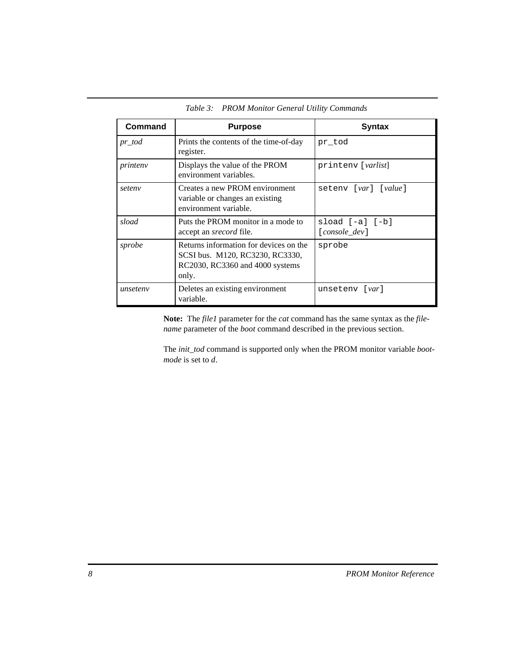| Command   | <b>Purpose</b>                                                                                                        | <b>Syntax</b>                      |
|-----------|-----------------------------------------------------------------------------------------------------------------------|------------------------------------|
| $pr\_tod$ | Prints the contents of the time-of-day<br>register.                                                                   | pr tod                             |
| printeny  | Displays the value of the PROM<br>environment variables.                                                              | printeny [varlist]                 |
| seteny    | Creates a new PROM environment<br>variable or changes an existing<br>environment variable.                            | seteny [var] [value]               |
| sload     | Puts the PROM monitor in a mode to<br>accept an <i>srecord</i> file.                                                  | $sload [-a] [-b]$<br>[console_dev] |
| sprobe    | Returns information for devices on the<br>SCSI bus. M120, RC3230, RC3330,<br>RC2030, RC3360 and 4000 systems<br>only. | sprobe                             |
| unseteny  | Deletes an existing environment<br>variable.                                                                          | unseteny [ <i>var</i> ]            |

*Table 3: PROM Monitor General Utility Commands*

**Note:** The *file1* parameter for the *cat* command has the same syntax as the *filename* parameter of the *boot* command described in the previous section.

The *init\_tod* command is supported only when the PROM monitor variable *bootmode* is set to *d*.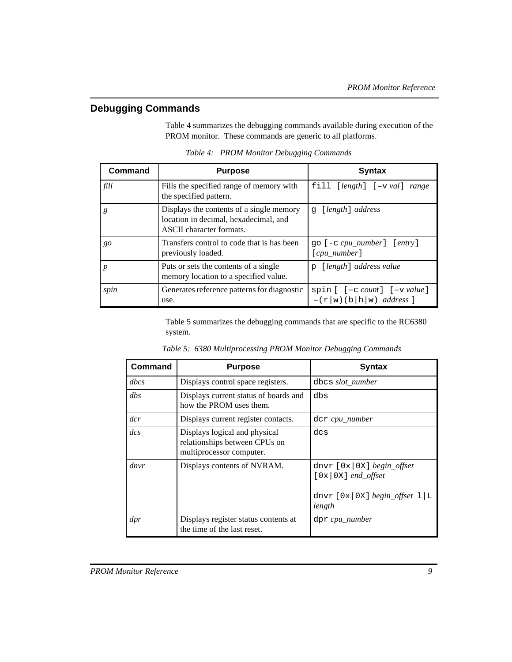### **Debugging Commands**

Table 4 summarizes the debugging commands available during execution of the PROM monitor. These commands are generic to all platforms.

| Command | <b>Purpose</b>                                                                                                       | <b>Syntax</b>                                             |
|---------|----------------------------------------------------------------------------------------------------------------------|-----------------------------------------------------------|
| fill    | Fills the specified range of memory with<br>the specified pattern.                                                   | $fill [length] [-v val] range$                            |
| g       | Displays the contents of a single memory<br>location in decimal, hexadecimal, and<br><b>ASCII</b> character formats. | [length] address<br>$\alpha$                              |
| go      | Transfers control to code that is has been<br>previously loaded.                                                     | go [-c cpu_number] [entry]<br>$[cpu_number]$              |
| p       | Puts or sets the contents of a single<br>memory location to a specified value.                                       | [length] address value<br>p                               |
| spin    | Generates reference patterns for diagnostic<br>use.                                                                  | spin [ [-c count] [-v value]<br>$-(r w)(b h w)$ address ] |

*Table 4: PROM Monitor Debugging Commands*

Table 5 summarizes the debugging commands that are specific to the RC6380 system.

| Command       | <b>Purpose</b>                                                                             | <b>Syntax</b>                                                                                      |
|---------------|--------------------------------------------------------------------------------------------|----------------------------------------------------------------------------------------------------|
| dbcs          | Displays control space registers.                                                          | dbcs slot_number                                                                                   |
| $\,$          | Displays current status of boards and<br>how the PROM uses them.                           | dbs                                                                                                |
| $\frac{d}{c}$ | Displays current register contacts.                                                        | der cpu_number                                                                                     |
| $\frac{d}{c}$ | Displays logical and physical<br>relationships between CPUs on<br>multiprocessor computer. | dcs                                                                                                |
| dnvr          | Displays contents of NVRAM.                                                                | dnvr $[0x 0X]$ begin_offset<br>$[0x 0X]$ end_offset<br>dnvr $[0x 0x]$ begin_offset $1 L$<br>length |
| dpr           | Displays register status contents at<br>the time of the last reset.                        | dpr cpu_number                                                                                     |

*Table 5: 6380 Multiprocessing PROM Monitor Debugging Commands*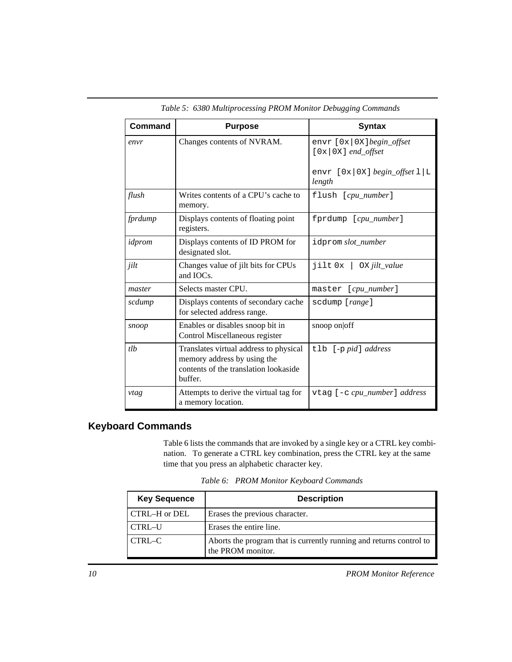| Command | <b>Purpose</b>                                                                                                            | <b>Syntax</b>                                                                                   |
|---------|---------------------------------------------------------------------------------------------------------------------------|-------------------------------------------------------------------------------------------------|
| envr    | Changes contents of NVRAM.                                                                                                | envr [0x 0X]begin_offset<br>$[0x 0X]$ end_offset<br>envr $[0x 0X]$ begin_offset $1 L$<br>length |
| flush   | Writes contents of a CPU's cache to<br>memory.                                                                            | flush [cpu_number]                                                                              |
| fprdump | Displays contents of floating point<br>registers.                                                                         | fprdump [cpu_number]                                                                            |
| idprom  | Displays contents of ID PROM for<br>designated slot.                                                                      | idprom slot_number                                                                              |
| jilt    | Changes value of jilt bits for CPUs<br>and IOCs.                                                                          | $jilt 0x \mid OX$ <i>jilt_value</i>                                                             |
| master  | Selects master CPU.                                                                                                       | master [cpu_number]                                                                             |
| scdump  | Displays contents of secondary cache<br>for selected address range.                                                       | scdump [range]                                                                                  |
| snoop   | Enables or disables snoop bit in<br>Control Miscellaneous register                                                        | snoop on off                                                                                    |
| tlb     | Translates virtual address to physical<br>memory address by using the<br>contents of the translation lookaside<br>buffer. | tlb [-p pid] address                                                                            |
| vtag    | Attempts to derive the virtual tag for<br>a memory location.                                                              | vtag [-c cpu_number] address                                                                    |

*Table 5: 6380 Multiprocessing PROM Monitor Debugging Commands*

### **Keyboard Commands**

Table 6 lists the commands that are invoked by a single key or a CTRL key combination. To generate a CTRL key combination, press the CTRL key at the same time that you press an alphabetic character key.

| <b>Key Sequence</b> | <b>Description</b>                                                                       |  |  |
|---------------------|------------------------------------------------------------------------------------------|--|--|
| CTRL–H or DEL       | Erases the previous character.                                                           |  |  |
| CTRL-U              | Erases the entire line.                                                                  |  |  |
| CTRL-C              | Aborts the program that is currently running and returns control to<br>the PROM monitor. |  |  |

*Table 6: PROM Monitor Keyboard Commands*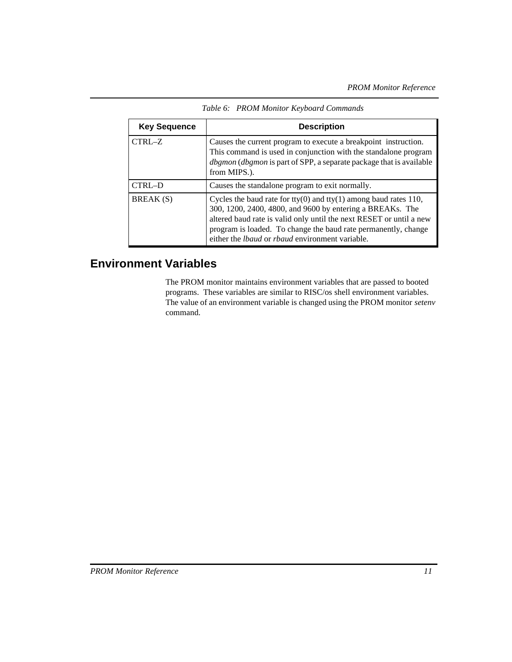| <b>Key Sequence</b> | <b>Description</b>                                                                                                                                                                                                                                                                                                        |  |  |
|---------------------|---------------------------------------------------------------------------------------------------------------------------------------------------------------------------------------------------------------------------------------------------------------------------------------------------------------------------|--|--|
| CTRL-Z              | Causes the current program to execute a breakpoint instruction.<br>This command is used in conjunction with the standalone program<br>dbgmon (dbgmon is part of SPP, a separate package that is available<br>from MIPS.).                                                                                                 |  |  |
| CTRL-D              | Causes the standalone program to exit normally.                                                                                                                                                                                                                                                                           |  |  |
| BREAK(S)            | Cycles the baud rate for tty(0) and tty(1) among baud rates 110,<br>300, 1200, 2400, 4800, and 9600 by entering a BREAKs. The<br>altered baud rate is valid only until the next RESET or until a new<br>program is loaded. To change the baud rate permanently, change<br>either the lbaud or rbaud environment variable. |  |  |

*Table 6: PROM Monitor Keyboard Commands*

### **Environment Variables**

The PROM monitor maintains environment variables that are passed to booted programs. These variables are similar to RISC/os shell environment variables. The value of an environment variable is changed using the PROM monitor *setenv* command.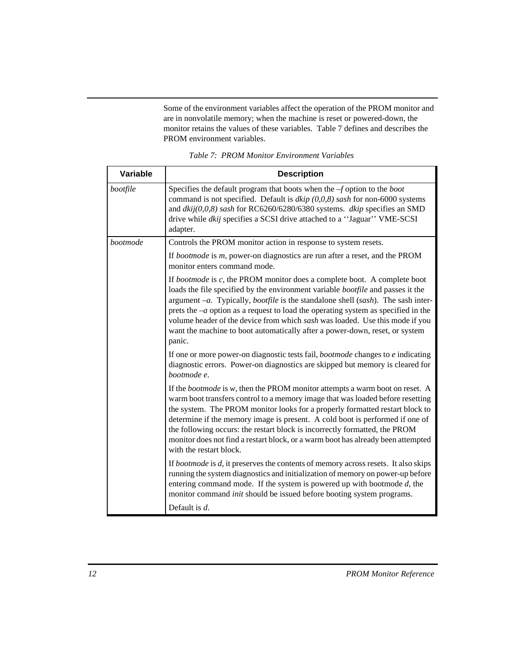Some of the environment variables affect the operation of the PROM monitor and are in nonvolatile memory; when the machine is reset or powered-down, the monitor retains the values of these variables. Table 7 defines and describes the PROM environment variables.

| <b>Variable</b> | <b>Description</b>                                                                                                                                                                                                                                                                                                                                                                                                                                                                                                                         |  |  |  |
|-----------------|--------------------------------------------------------------------------------------------------------------------------------------------------------------------------------------------------------------------------------------------------------------------------------------------------------------------------------------------------------------------------------------------------------------------------------------------------------------------------------------------------------------------------------------------|--|--|--|
|                 |                                                                                                                                                                                                                                                                                                                                                                                                                                                                                                                                            |  |  |  |
| bootfile        | Specifies the default program that boots when the $-f$ option to the <i>boot</i><br>command is not specified. Default is $dkip(0,0,8)$ sash for non-6000 systems<br>and $dkij(0,0,8)$ sash for RC6260/6280/6380 systems. dkip specifies an SMD<br>drive while <i>dkij</i> specifies a SCSI drive attached to a "Jaguar" VME-SCSI<br>adapter.                                                                                                                                                                                               |  |  |  |
| bootmode        | Controls the PROM monitor action in response to system resets.                                                                                                                                                                                                                                                                                                                                                                                                                                                                             |  |  |  |
|                 | If bootmode is m, power-on diagnostics are run after a reset, and the PROM<br>monitor enters command mode.                                                                                                                                                                                                                                                                                                                                                                                                                                 |  |  |  |
|                 | If <i>bootmode</i> is $c$ , the PROM monitor does a complete boot. A complete boot<br>loads the file specified by the environment variable <i>bootfile</i> and passes it the<br>argument $-a$ . Typically, <i>bootfile</i> is the standalone shell (sash). The sash inter-<br>prets the $-a$ option as a request to load the operating system as specified in the<br>volume header of the device from which sash was loaded. Use this mode if you<br>want the machine to boot automatically after a power-down, reset, or system<br>panic. |  |  |  |
|                 | If one or more power-on diagnostic tests fail, <i>bootmode</i> changes to <i>e</i> indicating<br>diagnostic errors. Power-on diagnostics are skipped but memory is cleared for<br>bootmode e.                                                                                                                                                                                                                                                                                                                                              |  |  |  |
|                 | If the <i>bootmode</i> is $w$ , then the PROM monitor attempts a warm boot on reset. A<br>warm boot transfers control to a memory image that was loaded before resetting<br>the system. The PROM monitor looks for a properly formatted restart block to<br>determine if the memory image is present. A cold boot is performed if one of<br>the following occurs: the restart block is incorrectly formatted, the PROM<br>monitor does not find a restart block, or a warm boot has already been attempted<br>with the restart block.      |  |  |  |
|                 | If <i>bootmode</i> is $d$ , it preserves the contents of memory across resets. It also skips<br>running the system diagnostics and initialization of memory on power-up before<br>entering command mode. If the system is powered up with bootmode $d$ , the<br>monitor command init should be issued before booting system programs.                                                                                                                                                                                                      |  |  |  |
|                 | Default is $d$ .                                                                                                                                                                                                                                                                                                                                                                                                                                                                                                                           |  |  |  |

*Table 7: PROM Monitor Environment Variables*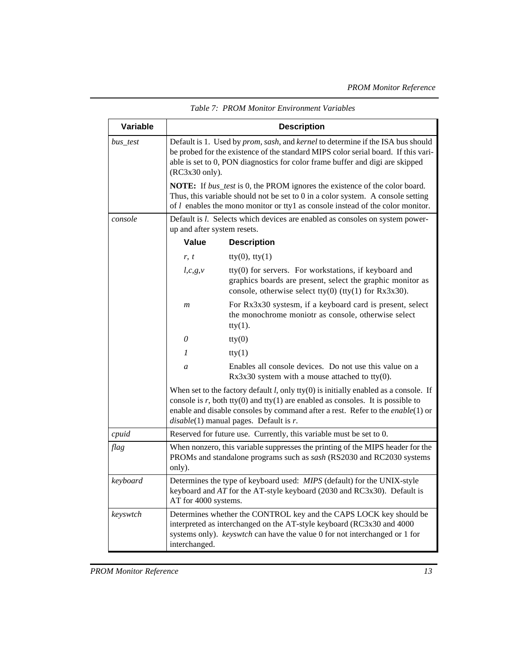| Variable | <b>Description</b>                                                                                                                                                                                                                                                                                                  |                                                                                                                                                                                 |  |  |  |
|----------|---------------------------------------------------------------------------------------------------------------------------------------------------------------------------------------------------------------------------------------------------------------------------------------------------------------------|---------------------------------------------------------------------------------------------------------------------------------------------------------------------------------|--|--|--|
| bus_test | Default is 1. Used by <i>prom, sash,</i> and <i>kernel</i> to determine if the ISA bus should<br>be probed for the existence of the standard MIPS color serial board. If this vari-<br>able is set to 0, PON diagnostics for color frame buffer and digi are skipped<br>$(RC3x30 \text{ only}).$                    |                                                                                                                                                                                 |  |  |  |
|          | <b>NOTE:</b> If <i>bus_test</i> is 0, the PROM ignores the existence of the color board.<br>Thus, this variable should not be set to $0$ in a color system. A console setting<br>of $l$ enables the mono monitor or ttyl as console instead of the color monitor.                                                   |                                                                                                                                                                                 |  |  |  |
| console  | Default is <i>l</i> . Selects which devices are enabled as consoles on system power-<br>up and after system resets.                                                                                                                                                                                                 |                                                                                                                                                                                 |  |  |  |
|          | Value                                                                                                                                                                                                                                                                                                               | <b>Description</b>                                                                                                                                                              |  |  |  |
|          | r, t                                                                                                                                                                                                                                                                                                                | $fty(0)$ , tty $(1)$                                                                                                                                                            |  |  |  |
|          | $l,c,g,\nu$                                                                                                                                                                                                                                                                                                         | tty(0) for servers. For workstations, if keyboard and<br>graphics boards are present, select the graphic monitor as<br>console, otherwise select tty(0) (tty(1) for $Rx3x30$ ). |  |  |  |
|          | $\boldsymbol{m}$                                                                                                                                                                                                                                                                                                    | For Rx3x30 systesm, if a keyboard card is present, select<br>the monochrome moniotr as console, otherwise select<br>$try(1)$ .                                                  |  |  |  |
|          | $\theta$                                                                                                                                                                                                                                                                                                            | try(0)                                                                                                                                                                          |  |  |  |
|          | 1                                                                                                                                                                                                                                                                                                                   | try(1)                                                                                                                                                                          |  |  |  |
|          | Enables all console devices. Do not use this value on a<br>a<br>$Rx3x30$ system with a mouse attached to tty(0).                                                                                                                                                                                                    |                                                                                                                                                                                 |  |  |  |
|          | When set to the factory default $l$ , only tty $(0)$ is initially enabled as a console. If<br>console is $r$ , both tty(0) and tty(1) are enabled as consoles. It is possible to<br>enable and disable consoles by command after a rest. Refer to the $enable(1)$ or<br>$disable(1)$ manual pages. Default is $r$ . |                                                                                                                                                                                 |  |  |  |
| cpuid    | Reserved for future use. Currently, this variable must be set to 0.                                                                                                                                                                                                                                                 |                                                                                                                                                                                 |  |  |  |
| flag     | When nonzero, this variable suppresses the printing of the MIPS header for the<br>PROMs and standalone programs such as sash (RS2030 and RC2030 systems<br>only).                                                                                                                                                   |                                                                                                                                                                                 |  |  |  |
| keyboard | Determines the type of keyboard used: MIPS (default) for the UNIX-style<br>keyboard and AT for the AT-style keyboard (2030 and RC3x30). Default is<br>AT for 4000 systems.                                                                                                                                          |                                                                                                                                                                                 |  |  |  |
| keyswtch | Determines whether the CONTROL key and the CAPS LOCK key should be<br>interpreted as interchanged on the AT-style keyboard (RC3x30 and 4000<br>systems only). <i>keyswtch</i> can have the value 0 for not interchanged or 1 for<br>interchanged.                                                                   |                                                                                                                                                                                 |  |  |  |

*Table 7: PROM Monitor Environment Variables*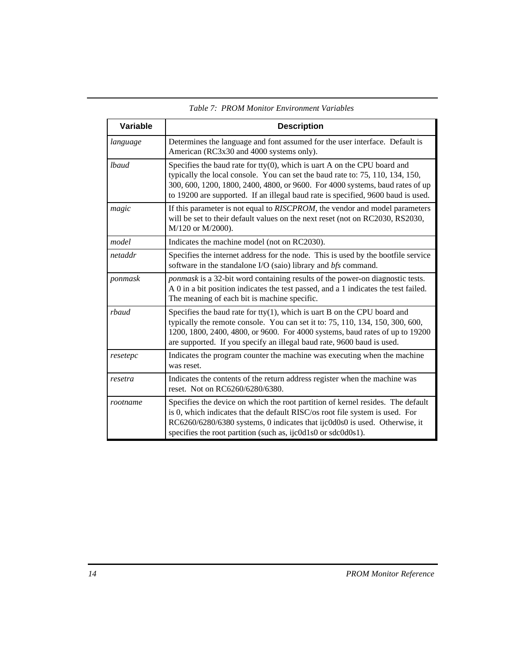| Variable | <b>Description</b>                                                                                                                                                                                                                                                                                                                 |  |  |  |
|----------|------------------------------------------------------------------------------------------------------------------------------------------------------------------------------------------------------------------------------------------------------------------------------------------------------------------------------------|--|--|--|
| language | Determines the language and font assumed for the user interface. Default is<br>American (RC3x30 and 4000 systems only).                                                                                                                                                                                                            |  |  |  |
| lbaud    | Specifies the baud rate for tty $(0)$ , which is uart A on the CPU board and<br>typically the local console. You can set the baud rate to: 75, 110, 134, 150,<br>300, 600, 1200, 1800, 2400, 4800, or 9600. For 4000 systems, baud rates of up<br>to 19200 are supported. If an illegal baud rate is specified, 9600 baud is used. |  |  |  |
| magic    | If this parameter is not equal to RISCPROM, the vendor and model parameters<br>will be set to their default values on the next reset (not on RC2030, RS2030,<br>M/120 or M/2000).                                                                                                                                                  |  |  |  |
| model    | Indicates the machine model (not on RC2030).                                                                                                                                                                                                                                                                                       |  |  |  |
| netaddr  | Specifies the internet address for the node. This is used by the bootfile service<br>software in the standalone I/O (saio) library and bfs command.                                                                                                                                                                                |  |  |  |
| ponmask  | <i>ponmask</i> is a 32-bit word containing results of the power-on diagnostic tests.<br>A 0 in a bit position indicates the test passed, and a 1 indicates the test failed.<br>The meaning of each bit is machine specific.                                                                                                        |  |  |  |
| rbaud    | Specifies the baud rate for tty $(1)$ , which is uart B on the CPU board and<br>typically the remote console. You can set it to: 75, 110, 134, 150, 300, 600,<br>1200, 1800, 2400, 4800, or 9600. For 4000 systems, baud rates of up to 19200<br>are supported. If you specify an illegal baud rate, 9600 baud is used.            |  |  |  |
| resetepc | Indicates the program counter the machine was executing when the machine<br>was reset.                                                                                                                                                                                                                                             |  |  |  |
| resetra  | Indicates the contents of the return address register when the machine was<br>reset. Not on RC6260/6280/6380.                                                                                                                                                                                                                      |  |  |  |
| rootname | Specifies the device on which the root partition of kernel resides. The default<br>is 0, which indicates that the default RISC/os root file system is used. For<br>RC6260/6280/6380 systems, 0 indicates that ijc0d0s0 is used. Otherwise, it<br>specifies the root partition (such as, ijc0d1s0 or sdc0d0s1).                     |  |  |  |

*Table 7: PROM Monitor Environment Variables*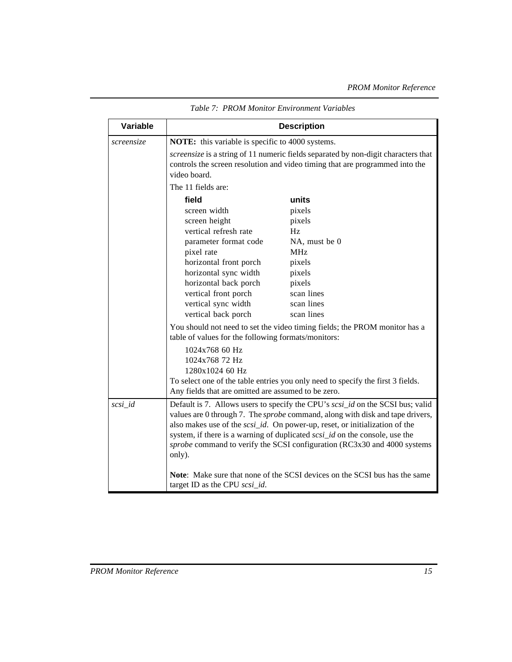| Variable   | <b>Description</b>                                                                                                                                                                                                                                                                                                                                                                                                                 |                                                                                                                                                                    |  |  |
|------------|------------------------------------------------------------------------------------------------------------------------------------------------------------------------------------------------------------------------------------------------------------------------------------------------------------------------------------------------------------------------------------------------------------------------------------|--------------------------------------------------------------------------------------------------------------------------------------------------------------------|--|--|
| screensize | NOTE: this variable is specific to 4000 systems.                                                                                                                                                                                                                                                                                                                                                                                   |                                                                                                                                                                    |  |  |
|            | video board.                                                                                                                                                                                                                                                                                                                                                                                                                       | screensize is a string of 11 numeric fields separated by non-digit characters that<br>controls the screen resolution and video timing that are programmed into the |  |  |
|            | The 11 fields are:                                                                                                                                                                                                                                                                                                                                                                                                                 |                                                                                                                                                                    |  |  |
|            | field                                                                                                                                                                                                                                                                                                                                                                                                                              | units                                                                                                                                                              |  |  |
|            | screen width                                                                                                                                                                                                                                                                                                                                                                                                                       | pixels                                                                                                                                                             |  |  |
|            | screen height                                                                                                                                                                                                                                                                                                                                                                                                                      | pixels                                                                                                                                                             |  |  |
|            | vertical refresh rate                                                                                                                                                                                                                                                                                                                                                                                                              | Hz                                                                                                                                                                 |  |  |
|            | parameter format code                                                                                                                                                                                                                                                                                                                                                                                                              | NA, must be 0                                                                                                                                                      |  |  |
|            | pixel rate                                                                                                                                                                                                                                                                                                                                                                                                                         | <b>MHz</b>                                                                                                                                                         |  |  |
|            | horizontal front porch                                                                                                                                                                                                                                                                                                                                                                                                             | pixels                                                                                                                                                             |  |  |
|            | horizontal sync width                                                                                                                                                                                                                                                                                                                                                                                                              | pixels<br>pixels                                                                                                                                                   |  |  |
|            | horizontal back porch<br>vertical front porch                                                                                                                                                                                                                                                                                                                                                                                      | scan lines                                                                                                                                                         |  |  |
|            | vertical sync width                                                                                                                                                                                                                                                                                                                                                                                                                | scan lines                                                                                                                                                         |  |  |
|            | vertical back porch                                                                                                                                                                                                                                                                                                                                                                                                                | scan lines                                                                                                                                                         |  |  |
|            | You should not need to set the video timing fields; the PROM monitor has a<br>table of values for the following formats/monitors:<br>1024x768 60 Hz                                                                                                                                                                                                                                                                                |                                                                                                                                                                    |  |  |
|            | 1024x768 72 Hz                                                                                                                                                                                                                                                                                                                                                                                                                     |                                                                                                                                                                    |  |  |
|            | 1280x1024 60 Hz                                                                                                                                                                                                                                                                                                                                                                                                                    |                                                                                                                                                                    |  |  |
|            | To select one of the table entries you only need to specify the first 3 fields.<br>Any fields that are omitted are assumed to be zero.                                                                                                                                                                                                                                                                                             |                                                                                                                                                                    |  |  |
| $scsi_id$  | Default is 7. Allows users to specify the CPU's scsi_id on the SCSI bus; valid<br>values are 0 through 7. The <i>sprobe</i> command, along with disk and tape drivers,<br>also makes use of the <i>scsi_id</i> . On power-up, reset, or initialization of the<br>system, if there is a warning of duplicated scsi_id on the console, use the<br>sprobe command to verify the SCSI configuration (RC3x30 and 4000 systems<br>only). |                                                                                                                                                                    |  |  |
|            | <b>Note:</b> Make sure that none of the SCSI devices on the SCSI bus has the same<br>target ID as the CPU scsi_id.                                                                                                                                                                                                                                                                                                                 |                                                                                                                                                                    |  |  |

*Table 7: PROM Monitor Environment Variables*